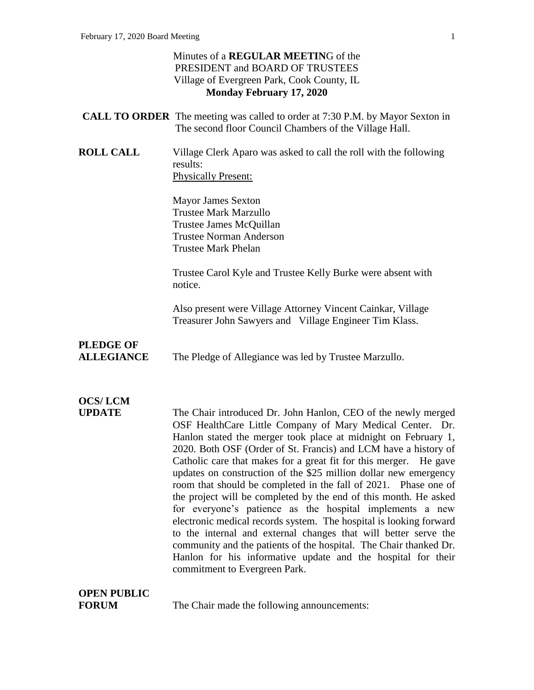### Minutes of a **REGULAR MEETIN**G of the PRESIDENT and BOARD OF TRUSTEES Village of Evergreen Park, Cook County, IL **Monday February 17, 2020**

- **CALL TO ORDER** The meeting was called to order at 7:30 P.M. by Mayor Sexton in The second floor Council Chambers of the Village Hall.
- **ROLL CALL** Village Clerk Aparo was asked to call the roll with the following results: Physically Present:

Mayor James Sexton Trustee Mark Marzullo Trustee James McQuillan Trustee Norman Anderson Trustee Mark Phelan

Trustee Carol Kyle and Trustee Kelly Burke were absent with notice.

Also present were Village Attorney Vincent Cainkar, Village Treasurer John Sawyers and Village Engineer Tim Klass.

## **PLEDGE OF**

**ALLEGIANCE** The Pledge of Allegiance was led by Trustee Marzullo.

# **OCS/ LCM**

**UPDATE** The Chair introduced Dr. John Hanlon, CEO of the newly merged OSF HealthCare Little Company of Mary Medical Center. Dr. Hanlon stated the merger took place at midnight on February 1, 2020. Both OSF (Order of St. Francis) and LCM have a history of Catholic care that makes for a great fit for this merger. He gave updates on construction of the \$25 million dollar new emergency room that should be completed in the fall of 2021. Phase one of the project will be completed by the end of this month. He asked for everyone's patience as the hospital implements a new electronic medical records system. The hospital is looking forward to the internal and external changes that will better serve the community and the patients of the hospital. The Chair thanked Dr. Hanlon for his informative update and the hospital for their commitment to Evergreen Park.

# **OPEN PUBLIC**

**FORUM** The Chair made the following announcements: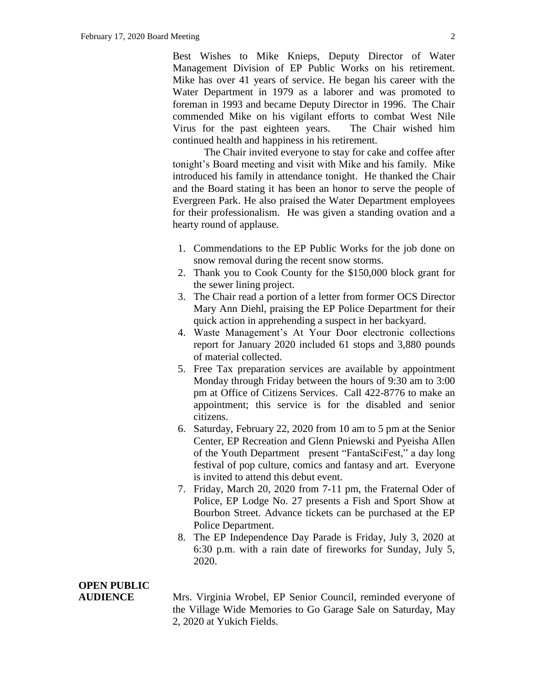Best Wishes to Mike Knieps, Deputy Director of Water Management Division of EP Public Works on his retirement. Mike has over 41 years of service. He began his career with the Water Department in 1979 as a laborer and was promoted to foreman in 1993 and became Deputy Director in 1996. The Chair commended Mike on his vigilant efforts to combat West Nile Virus for the past eighteen years. The Chair wished him continued health and happiness in his retirement.

The Chair invited everyone to stay for cake and coffee after tonight's Board meeting and visit with Mike and his family. Mike introduced his family in attendance tonight. He thanked the Chair and the Board stating it has been an honor to serve the people of Evergreen Park. He also praised the Water Department employees for their professionalism. He was given a standing ovation and a hearty round of applause.

- 1. Commendations to the EP Public Works for the job done on snow removal during the recent snow storms.
- 2. Thank you to Cook County for the \$150,000 block grant for the sewer lining project.
- 3. The Chair read a portion of a letter from former OCS Director Mary Ann Diehl, praising the EP Police Department for their quick action in apprehending a suspect in her backyard.
- 4. Waste Management's At Your Door electronic collections report for January 2020 included 61 stops and 3,880 pounds of material collected.
- 5. Free Tax preparation services are available by appointment Monday through Friday between the hours of 9:30 am to 3:00 pm at Office of Citizens Services. Call 422-8776 to make an appointment; this service is for the disabled and senior citizens.
- 6. Saturday, February 22, 2020 from 10 am to 5 pm at the Senior Center, EP Recreation and Glenn Pniewski and Pyeisha Allen of the Youth Department present "FantaSciFest," a day long festival of pop culture, comics and fantasy and art. Everyone is invited to attend this debut event.
- 7. Friday, March 20, 2020 from 7-11 pm, the Fraternal Oder of Police, EP Lodge No. 27 presents a Fish and Sport Show at Bourbon Street. Advance tickets can be purchased at the EP Police Department.
- 8. The EP Independence Day Parade is Friday, July 3, 2020 at 6:30 p.m. with a rain date of fireworks for Sunday, July 5, 2020.

### **OPEN PUBLIC**

**AUDIENCE** Mrs. Virginia Wrobel, EP Senior Council, reminded everyone of the Village Wide Memories to Go Garage Sale on Saturday, May 2, 2020 at Yukich Fields.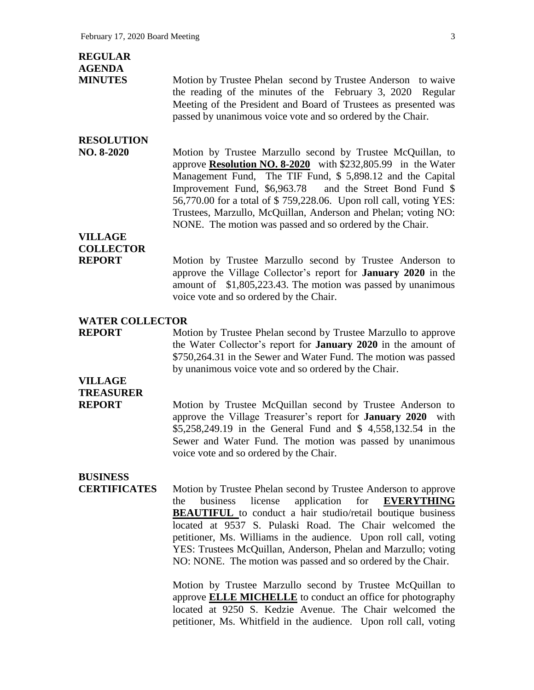| <b>REGULAR</b><br><b>AGENDA</b>        |                                                                                                                                                                                                                                                                                                                                                                                                                                                                                |
|----------------------------------------|--------------------------------------------------------------------------------------------------------------------------------------------------------------------------------------------------------------------------------------------------------------------------------------------------------------------------------------------------------------------------------------------------------------------------------------------------------------------------------|
| <b>MINUTES</b>                         | Motion by Trustee Phelan second by Trustee Anderson to waive<br>the reading of the minutes of the February 3, 2020 Regular<br>Meeting of the President and Board of Trustees as presented was<br>passed by unanimous voice vote and so ordered by the Chair.                                                                                                                                                                                                                   |
| <b>RESOLUTION</b><br>NO. 8-2020        | Motion by Trustee Marzullo second by Trustee McQuillan, to<br>approve <b>Resolution NO. 8-2020</b> with \$232,805.99 in the Water<br>Management Fund, The TIF Fund, \$ 5,898.12 and the Capital<br>Improvement Fund, \$6,963.78<br>and the Street Bond Fund \$<br>56,770.00 for a total of \$759,228.06. Upon roll call, voting YES:<br>Trustees, Marzullo, McQuillan, Anderson and Phelan; voting NO:<br>NONE. The motion was passed and so ordered by the Chair.             |
| <b>VILLAGE</b>                         |                                                                                                                                                                                                                                                                                                                                                                                                                                                                                |
| <b>COLLECTOR</b><br><b>REPORT</b>      | Motion by Trustee Marzullo second by Trustee Anderson to<br>approve the Village Collector's report for <b>January 2020</b> in the<br>amount of \$1,805,223.43. The motion was passed by unanimous<br>voice vote and so ordered by the Chair.                                                                                                                                                                                                                                   |
| <b>WATER COLLECTOR</b>                 |                                                                                                                                                                                                                                                                                                                                                                                                                                                                                |
| <b>REPORT</b>                          | Motion by Trustee Phelan second by Trustee Marzullo to approve<br>the Water Collector's report for January 2020 in the amount of<br>\$750,264.31 in the Sewer and Water Fund. The motion was passed<br>by unanimous voice vote and so ordered by the Chair.                                                                                                                                                                                                                    |
| <b>VILLAGE</b>                         |                                                                                                                                                                                                                                                                                                                                                                                                                                                                                |
| <b>TREASURER</b><br><b>REPORT</b>      | Motion by Trustee McQuillan second by Trustee Anderson to<br>approve the Village Treasurer's report for January 2020 with<br>\$5,258,249.19 in the General Fund and \$4,558,132.54 in the<br>Sewer and Water Fund. The motion was passed by unanimous<br>voice vote and so ordered by the Chair.                                                                                                                                                                               |
| <b>BUSINESS</b><br><b>CERTIFICATES</b> | Motion by Trustee Phelan second by Trustee Anderson to approve<br>business<br>license<br>application<br>for<br><b>EVERYTHING</b><br>the<br><b>BEAUTIFUL</b> to conduct a hair studio/retail boutique business<br>located at 9537 S. Pulaski Road. The Chair welcomed the<br>petitioner, Ms. Williams in the audience. Upon roll call, voting<br>YES: Trustees McQuillan, Anderson, Phelan and Marzullo; voting<br>NO: NONE. The motion was passed and so ordered by the Chair. |
|                                        | Motion by Trustee Marzullo second by Trustee McQuillan to                                                                                                                                                                                                                                                                                                                                                                                                                      |

Motion by Trustee Marzullo second by Trustee McQuillan to approve **ELLE MICHELLE** to conduct an office for photography located at 9250 S. Kedzie Avenue. The Chair welcomed the petitioner, Ms. Whitfield in the audience. Upon roll call, voting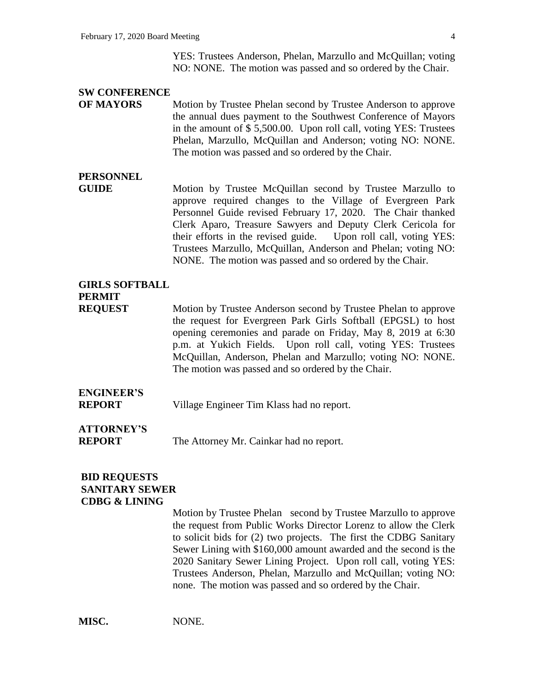YES: Trustees Anderson, Phelan, Marzullo and McQuillan; voting NO: NONE. The motion was passed and so ordered by the Chair.

#### **SW CONFERENCE**

**OF MAYORS** Motion by Trustee Phelan second by Trustee Anderson to approve the annual dues payment to the Southwest Conference of Mayors in the amount of \$ 5,500.00. Upon roll call, voting YES: Trustees Phelan, Marzullo, McQuillan and Anderson; voting NO: NONE. The motion was passed and so ordered by the Chair.

### **PERSONNEL**

**GUIDE** 6 Motion by Trustee McQuillan second by Trustee Marzullo to approve required changes to the Village of Evergreen Park Personnel Guide revised February 17, 2020. The Chair thanked Clerk Aparo, Treasure Sawyers and Deputy Clerk Cericola for their efforts in the revised guide. Upon roll call, voting YES: Trustees Marzullo, McQuillan, Anderson and Phelan; voting NO: NONE. The motion was passed and so ordered by the Chair.

### **GIRLS SOFTBALL PERMIT**

**REQUEST** Motion by Trustee Anderson second by Trustee Phelan to approve the request for Evergreen Park Girls Softball (EPGSL) to host opening ceremonies and parade on Friday, May 8, 2019 at 6:30 p.m. at Yukich Fields. Upon roll call, voting YES: Trustees McQuillan, Anderson, Phelan and Marzullo; voting NO: NONE. The motion was passed and so ordered by the Chair.

## **ENGINEER'S**

**REPORT** Village Engineer Tim Klass had no report.

# **ATTORNEY'S**

**REPORT** The Attorney Mr. Cainkar had no report.

### **BID REQUESTS SANITARY SEWER CDBG & LINING**

Motion by Trustee Phelansecond by Trustee Marzullo to approve the request from Public Works Director Lorenz to allow the Clerk to solicit bids for (2) two projects. The first the CDBG Sanitary Sewer Lining with \$160,000 amount awarded and the second is the 2020 Sanitary Sewer Lining Project. Upon roll call, voting YES: Trustees Anderson, Phelan, Marzullo and McQuillan; voting NO: none. The motion was passed and so ordered by the Chair.

**MISC.** NONE.